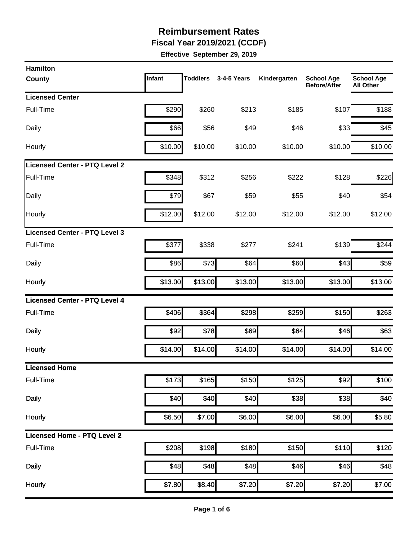**Fiscal Year 2019/2021 (CCDF)** 

| <b>Hamilton</b>                      |         |                 |             |              |                                          |                                       |
|--------------------------------------|---------|-----------------|-------------|--------------|------------------------------------------|---------------------------------------|
| County                               | Infant  | <b>Toddlers</b> | 3-4-5 Years | Kindergarten | <b>School Age</b><br><b>Before/After</b> | <b>School Age</b><br><b>All Other</b> |
| <b>Licensed Center</b>               |         |                 |             |              |                                          |                                       |
| Full-Time                            | \$290   | \$260           | \$213       | \$185        | \$107                                    | \$188                                 |
| Daily                                | \$66    | \$56            | \$49        | \$46         | \$33                                     | \$45                                  |
| Hourly                               | \$10.00 | \$10.00         | \$10.00     | \$10.00      | \$10.00                                  | \$10.00                               |
| Licensed Center - PTQ Level 2        |         |                 |             |              |                                          |                                       |
| Full-Time                            | \$348   | \$312           | \$256       | \$222        | \$128                                    | \$226                                 |
| Daily                                | \$79    | \$67            | \$59        | \$55         | \$40                                     | \$54                                  |
| Hourly                               | \$12.00 | \$12.00         | \$12.00     | \$12.00      | \$12.00                                  | \$12.00                               |
| <b>Licensed Center - PTQ Level 3</b> |         |                 |             |              |                                          |                                       |
| Full-Time                            | \$377   | \$338           | \$277       | \$241        | \$139                                    | \$244                                 |
| Daily                                | \$86    | \$73            | \$64        | \$60         | \$43                                     | \$59                                  |
| Hourly                               | \$13.00 | \$13.00         | \$13.00     | \$13.00      | \$13.00                                  | \$13.00                               |
| <b>Licensed Center - PTQ Level 4</b> |         |                 |             |              |                                          |                                       |
| <b>Full-Time</b>                     | \$406   | \$364           | \$298       | \$259        | \$150                                    | \$263                                 |
| <b>Daily</b>                         | \$92    | \$78            | \$69        | \$64         | \$46                                     | \$63                                  |
| Hourly                               | \$14.00 | \$14.00         | \$14.00     | \$14.00      | \$14.00                                  | \$14.00                               |
| <b>Licensed Home</b>                 |         |                 |             |              |                                          |                                       |
| <b>Full-Time</b>                     | \$173   | \$165           | \$150       | \$125        | \$92                                     | \$100                                 |
| <b>Daily</b>                         | \$40    | \$40            | \$40        | \$38         | \$38                                     | \$40                                  |
| Hourly                               | \$6.50  | \$7.00          | \$6.00      | \$6.00       | \$6.00                                   | \$5.80                                |
| <b>Licensed Home - PTQ Level 2</b>   |         |                 |             |              |                                          |                                       |
| <b>Full-Time</b>                     | \$208   | \$198           | \$180       | \$150        | \$110                                    | \$120                                 |
| <b>Daily</b>                         | \$48    | \$48            | \$48        | \$46         | \$46                                     | \$48                                  |
| Hourly                               | \$7.80  | \$8.40          | \$7.20      | \$7.20       | $\overline{$7.20}$                       | \$7.00                                |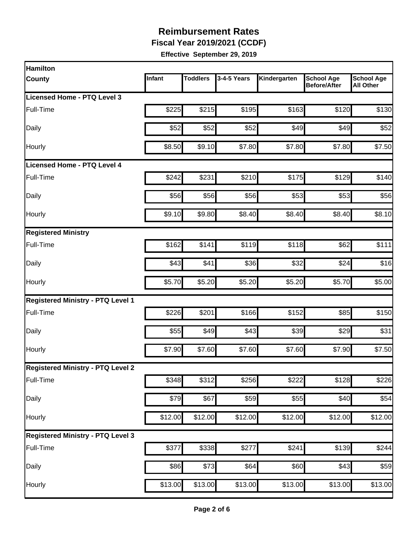**Fiscal Year 2019/2021 (CCDF)** 

| <b>Hamilton</b>                          |         |                 |             |              |                                          |                                       |
|------------------------------------------|---------|-----------------|-------------|--------------|------------------------------------------|---------------------------------------|
| <b>County</b>                            | Infant  | <b>Toddlers</b> | 3-4-5 Years | Kindergarten | <b>School Age</b><br><b>Before/After</b> | <b>School Age</b><br><b>All Other</b> |
| Licensed Home - PTQ Level 3              |         |                 |             |              |                                          |                                       |
| Full-Time                                | \$225   | \$215           | \$195       | \$163        | \$120                                    | \$130                                 |
| Daily                                    | \$52    | \$52            | \$52        | \$49         | \$49                                     | \$52                                  |
| Hourly                                   | \$8.50  | \$9.10          | \$7.80      | \$7.80       | \$7.80                                   | \$7.50                                |
| <b>Licensed Home - PTQ Level 4</b>       |         |                 |             |              |                                          |                                       |
| Full-Time                                | \$242   | \$231           | \$210       | \$175        | \$129                                    | \$140                                 |
| Daily                                    | \$56    | \$56            | \$56        | \$53         | \$53                                     | \$56                                  |
| Hourly                                   | \$9.10  | \$9.80          | \$8.40      | \$8.40       | \$8.40                                   | \$8.10                                |
| <b>Registered Ministry</b>               |         |                 |             |              |                                          |                                       |
| Full-Time                                | \$162   | \$141           | \$119       | \$118        | \$62                                     | \$111                                 |
| Daily                                    | \$43    | \$41]           | \$36        | \$32         | \$24                                     | \$16                                  |
| Hourly                                   | \$5.70  | \$5.20          | \$5.20      | \$5.20       | \$5.70                                   | \$5.00                                |
| Registered Ministry - PTQ Level 1        |         |                 |             |              |                                          |                                       |
| Full-Time                                | \$226   | \$201           | \$166       | \$152        | \$85                                     | \$150                                 |
| Daily                                    | \$55    | \$49            | \$43        | \$39         | \$29                                     | \$31                                  |
| Hourly                                   | \$7.90  | \$7.60          | \$7.60      | \$7.60       | \$7.90                                   | \$7.50                                |
| <b>Registered Ministry - PTQ Level 2</b> |         |                 |             |              |                                          |                                       |
| Full-Time                                | \$348   | \$312           | \$256       | \$222        | \$128                                    | \$226                                 |
| Daily                                    | \$79    | \$67            | \$59        | \$55         | \$40                                     | \$54                                  |
| Hourly                                   | \$12.00 | \$12.00         | \$12.00     | \$12.00      | \$12.00                                  | \$12.00                               |
| <b>Registered Ministry - PTQ Level 3</b> |         |                 |             |              |                                          |                                       |
| Full-Time                                | \$377   | \$338           | \$277       | \$241        | \$139                                    | \$244                                 |
| Daily                                    | \$86    | \$73            | \$64        | \$60         | \$43                                     | \$59                                  |
| Hourly                                   | \$13.00 | \$13.00         | \$13.00     | \$13.00      | \$13.00                                  | \$13.00                               |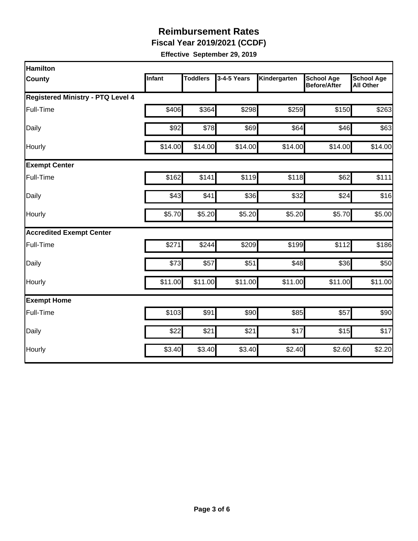**Fiscal Year 2019/2021 (CCDF)** 

| Hamilton                                 |         |                 |             |              |                                          |                                       |
|------------------------------------------|---------|-----------------|-------------|--------------|------------------------------------------|---------------------------------------|
| <b>County</b>                            | Infant  | <b>Toddlers</b> | 3-4-5 Years | Kindergarten | <b>School Age</b><br><b>Before/After</b> | <b>School Age</b><br><b>All Other</b> |
| <b>Registered Ministry - PTQ Level 4</b> |         |                 |             |              |                                          |                                       |
| Full-Time                                | \$406   | \$364           | \$298       | \$259        | \$150                                    | \$263                                 |
| Daily                                    | \$92    | \$78]           | \$69        | \$64         | \$46                                     | \$63                                  |
| Hourly                                   | \$14.00 | \$14.00         | \$14.00     | \$14.00      | \$14.00                                  | \$14.00                               |
| <b>Exempt Center</b>                     |         |                 |             |              |                                          |                                       |
| Full-Time                                | \$162   | \$141           | \$119       | \$118        | \$62                                     | \$111                                 |
| Daily                                    | \$43    | \$41            | \$36        | \$32         | \$24                                     | \$16                                  |
| Hourly                                   | \$5.70  | \$5.20          | \$5.20      | \$5.20       | \$5.70                                   | \$5.00                                |
| <b>Accredited Exempt Center</b>          |         |                 |             |              |                                          |                                       |
| Full-Time                                | \$271   | \$244           | \$209       | \$199        | \$112                                    | \$186                                 |
| Daily                                    | \$73    | \$57            | \$51        | \$48         | \$36                                     | \$50                                  |
| Hourly                                   | \$11.00 | \$11.00         | \$11.00     | \$11.00      | \$11.00                                  | \$11.00                               |
| <b>Exempt Home</b>                       |         |                 |             |              |                                          |                                       |
| Full-Time                                | \$103   | \$91            | \$90        | \$85         | \$57                                     | \$90                                  |
| Daily                                    | \$22    | \$21            | \$21        | \$17         | \$15                                     | \$17                                  |
| Hourly                                   | \$3.40  | \$3.40          | \$3.40      | \$2.40       | \$2.60                                   | \$2.20                                |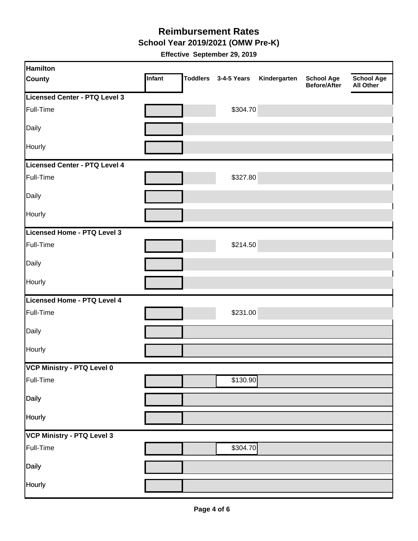**School Year 2019/2021 (OMW Pre-K)** 

| <b>Hamilton</b>               |        |                      |              |                                   |                                       |
|-------------------------------|--------|----------------------|--------------|-----------------------------------|---------------------------------------|
| <b>County</b>                 | Infant | Toddlers 3-4-5 Years | Kindergarten | <b>School Age</b><br>Before/After | <b>School Age</b><br><b>All Other</b> |
| Licensed Center - PTQ Level 3 |        |                      |              |                                   |                                       |
| Full-Time                     |        | \$304.70             |              |                                   |                                       |
| Daily                         |        |                      |              |                                   |                                       |
| Hourly                        |        |                      |              |                                   |                                       |
| Licensed Center - PTQ Level 4 |        |                      |              |                                   |                                       |
| Full-Time                     |        | \$327.80             |              |                                   |                                       |
| Daily                         |        |                      |              |                                   |                                       |
| Hourly                        |        |                      |              |                                   |                                       |
| Licensed Home - PTQ Level 3   |        |                      |              |                                   |                                       |
| Full-Time                     |        | \$214.50             |              |                                   |                                       |
| Daily                         |        |                      |              |                                   |                                       |
| Hourly                        |        |                      |              |                                   |                                       |
| Licensed Home - PTQ Level 4   |        |                      |              |                                   |                                       |
| Full-Time                     |        | \$231.00             |              |                                   |                                       |
| Daily                         |        |                      |              |                                   |                                       |
| Hourly                        |        |                      |              |                                   |                                       |
| VCP Ministry - PTQ Level 0    |        |                      |              |                                   |                                       |
| Full-Time                     |        | \$130.90             |              |                                   |                                       |
| Daily                         |        |                      |              |                                   |                                       |
| Hourly                        |        |                      |              |                                   |                                       |
| VCP Ministry - PTQ Level 3    |        |                      |              |                                   |                                       |
| Full-Time                     |        | \$304.70             |              |                                   |                                       |
| <b>Daily</b>                  |        |                      |              |                                   |                                       |
| Hourly                        |        |                      |              |                                   |                                       |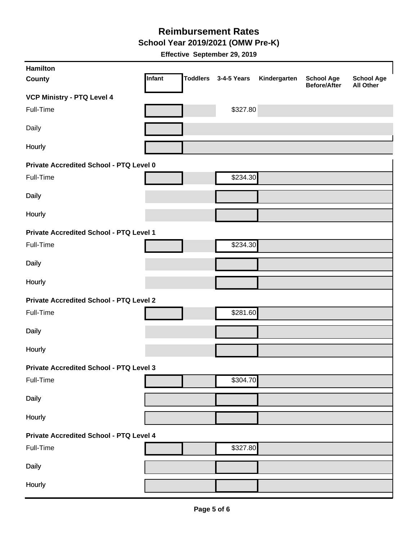**School Year 2019/2021 (OMW Pre-K)** 

| Hamilton                                       |        |                 |             |              |                                          |                                       |
|------------------------------------------------|--------|-----------------|-------------|--------------|------------------------------------------|---------------------------------------|
| <b>County</b>                                  | Infant | <b>Toddlers</b> | 3-4-5 Years | Kindergarten | <b>School Age</b><br><b>Before/After</b> | <b>School Age</b><br><b>All Other</b> |
| <b>VCP Ministry - PTQ Level 4</b>              |        |                 |             |              |                                          |                                       |
| Full-Time                                      |        |                 | \$327.80    |              |                                          |                                       |
| Daily                                          |        |                 |             |              |                                          |                                       |
| Hourly                                         |        |                 |             |              |                                          |                                       |
| Private Accredited School - PTQ Level 0        |        |                 |             |              |                                          |                                       |
| Full-Time                                      |        |                 | \$234.30    |              |                                          |                                       |
| <b>Daily</b>                                   |        |                 |             |              |                                          |                                       |
| Hourly                                         |        |                 |             |              |                                          |                                       |
| <b>Private Accredited School - PTQ Level 1</b> |        |                 |             |              |                                          |                                       |
| Full-Time                                      |        |                 | \$234.30    |              |                                          |                                       |
| <b>Daily</b>                                   |        |                 |             |              |                                          |                                       |
| Hourly                                         |        |                 |             |              |                                          |                                       |
| <b>Private Accredited School - PTQ Level 2</b> |        |                 |             |              |                                          |                                       |
| Full-Time                                      |        |                 | \$281.60    |              |                                          |                                       |
| <b>Daily</b>                                   |        |                 |             |              |                                          |                                       |
| Hourly                                         |        |                 |             |              |                                          |                                       |
| <b>Private Accredited School - PTQ Level 3</b> |        |                 |             |              |                                          |                                       |
| Full-Time                                      |        |                 | \$304.70    |              |                                          |                                       |
| <b>Daily</b>                                   |        |                 |             |              |                                          |                                       |
| Hourly                                         |        |                 |             |              |                                          |                                       |
| Private Accredited School - PTQ Level 4        |        |                 |             |              |                                          |                                       |
| Full-Time                                      |        |                 | \$327.80    |              |                                          |                                       |
| <b>Daily</b>                                   |        |                 |             |              |                                          |                                       |
| Hourly                                         |        |                 |             |              |                                          |                                       |